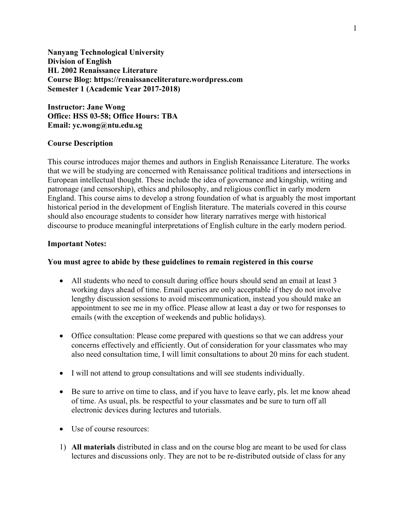**Nanyang Technological University Division of English HL 2002 Renaissance Literature Course Blog: https://renaissanceliterature.wordpress.com Semester 1 (Academic Year 2017-2018)**

**Instructor: Jane Wong Office: HSS 03-58; Office Hours: TBA Email: yc.wong@ntu.edu.sg**

### **Course Description**

This course introduces major themes and authors in English Renaissance Literature. The works that we will be studying are concerned with Renaissance political traditions and intersections in European intellectual thought. These include the idea of governance and kingship, writing and patronage (and censorship), ethics and philosophy, and religious conflict in early modern England. This course aims to develop a strong foundation of what is arguably the most important historical period in the development of English literature. The materials covered in this course should also encourage students to consider how literary narratives merge with historical discourse to produce meaningful interpretations of English culture in the early modern period.

### **Important Notes:**

# **You must agree to abide by these guidelines to remain registered in this course**

- All students who need to consult during office hours should send an email at least 3 working days ahead of time. Email queries are only acceptable if they do not involve lengthy discussion sessions to avoid miscommunication, instead you should make an appointment to see me in my office. Please allow at least a day or two for responses to emails (with the exception of weekends and public holidays).
- Office consultation: Please come prepared with questions so that we can address your concerns effectively and efficiently. Out of consideration for your classmates who may also need consultation time, I will limit consultations to about 20 mins for each student.
- I will not attend to group consultations and will see students individually.
- Be sure to arrive on time to class, and if you have to leave early, pls. let me know ahead of time. As usual, pls. be respectful to your classmates and be sure to turn off all electronic devices during lectures and tutorials.
- Use of course resources:
- 1) **All materials** distributed in class and on the course blog are meant to be used for class lectures and discussions only. They are not to be re-distributed outside of class for any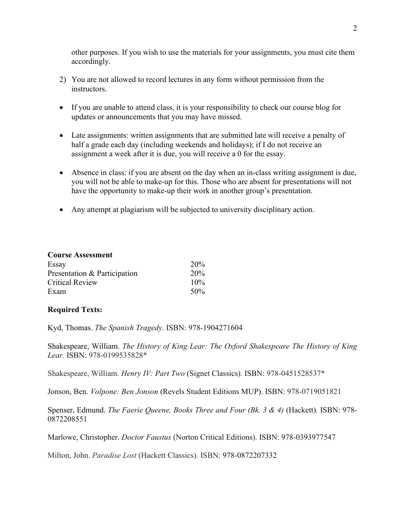other purposes. If you wish to use the materials for your assignments, you must cite them accordingly.

- 2) You are not allowed to record lectures in any form without permission from the instructors.
- If you are unable to attend class, it is your responsibility to check our course blog for updates or announcements that you may have missed.
- Late assignments: written assignments that are submitted late will receive a penalty of half a grade each day (including weekends and holidays); if I do not receive an assignment a week after it is due, you will receive a 0 for the essay.
- Absence in class: if you are absent on the day when an in-class writing assignment is due, you will not be able to make-up for this. Those who are absent for presentations will not have the opportunity to make-up their work in another group's presentation.
- Any attempt at plagiarism will be subjected to university disciplinary action.

| <b>Course Assessment</b>     |     |  |
|------------------------------|-----|--|
| Essay                        | 20% |  |
| Presentation & Participation | 20% |  |
| <b>Critical Review</b>       | 10% |  |
| Exam                         | 50% |  |

# **Required Texts:**

Kyd, Thomas. *The Spanish Tragedy.* ISBN: 978-1904271604

Shakespeare, William. *The History of King Lear: The Oxford Shakespeare The History of King Lear.* ISBN: 978-0199535828\*

Shakespeare, William. *Henry IV: Part Two* (Signet Classics). ISBN: 978-0451528537\*

Jonson, Ben. *Volpone: Ben Jonson* (Revels Student Editions MUP). ISBN: 978-0719051821

Spenser, Edmund. *The Faerie Queene, Books Three and Four (Bk. 3 & 4)* (Hackett)*.* ISBN: 978- 0872208551

Marlowe, Christopher. *Doctor Faustus* (Norton Critical Editions). ISBN: 978-0393977547

Milton, John. *Paradise Lost* (Hackett Classics)*.* ISBN: 978-0872207332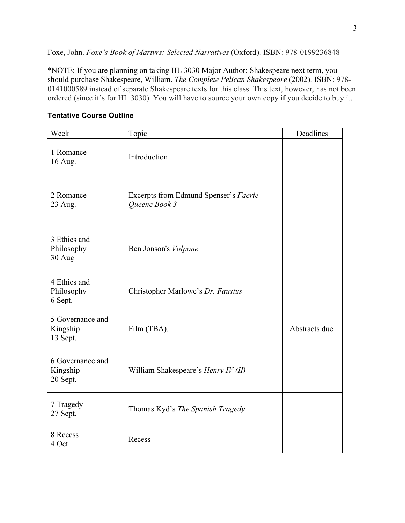Foxe, John. *Foxe's Book of Martyrs: Selected Narratives* (Oxford). ISBN: 978-0199236848

\*NOTE: If you are planning on taking HL 3030 Major Author: Shakespeare next term, you should purchase Shakespeare, William. *The Complete Pelican Shakespeare* (2002). ISBN: 978- 0141000589 instead of separate Shakespeare texts for this class. This text, however, has not been ordered (since it's for HL 3030). You will have to source your own copy if you decide to buy it.

| Week                                     | Topic                                                  | Deadlines     |
|------------------------------------------|--------------------------------------------------------|---------------|
| 1 Romance<br>16 Aug.                     | Introduction                                           |               |
| 2 Romance<br>23 Aug.                     | Excerpts from Edmund Spenser's Faerie<br>Queene Book 3 |               |
| 3 Ethics and<br>Philosophy<br>30 Aug     | Ben Jonson's Volpone                                   |               |
| 4 Ethics and<br>Philosophy<br>6 Sept.    | Christopher Marlowe's Dr. Faustus                      |               |
| 5 Governance and<br>Kingship<br>13 Sept. | Film (TBA).                                            | Abstracts due |
| 6 Governance and<br>Kingship<br>20 Sept. | William Shakespeare's Henry IV (II)                    |               |
| 7 Tragedy<br>27 Sept.                    | Thomas Kyd's The Spanish Tragedy                       |               |
| 8 Recess<br>4 Oct.                       | Recess                                                 |               |

# **Tentative Course Outline**